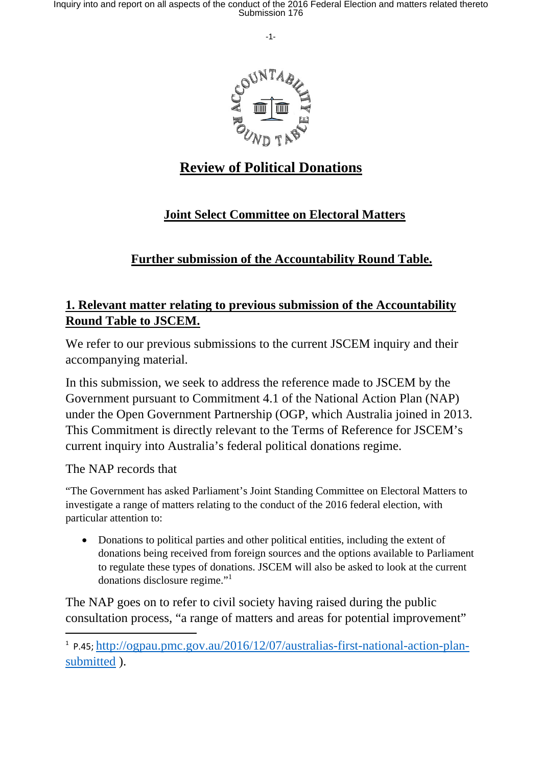Inquiry into and report on all aspects of the conduct of the 2016 Federal Election and matters related thereto Submission 176

-1-



# **Review of Political Donations**

## **Joint Select Committee on Electoral Matters**

## **Further submission of the Accountability Round Table.**

#### **1. Relevant matter relating to previous submission of the Accountability Round Table to JSCEM.**

We refer to our previous submissions to the current JSCEM inquiry and their accompanying material.

In this submission, we seek to address the reference made to JSCEM by the Government pursuant to Commitment 4.1 of the National Action Plan (NAP) under the Open Government Partnership (OGP, which Australia joined in 2013. This Commitment is directly relevant to the Terms of Reference for JSCEM's current inquiry into Australia's federal political donations regime.

The NAP records that

"The Government has asked Parliament's Joint Standing Committee on Electoral Matters to investigate a range of matters relating to the conduct of the 2016 federal election, with particular attention to:

• Donations to political parties and other political entities, including the extent of donations being received from foreign sources and the options available to Parliament to regulate these types of donations. JSCEM will also be asked to look at the current donations disclosure regime."<sup>1</sup>

The NAP goes on to refer to civil society having raised during the public consultation process, "a range of matters and areas for potential improvement"

<sup>1</sup> P.45; http://ogpau.pmc.gov.au/2016/12/07/australias-first-national-action-plansubmitted ).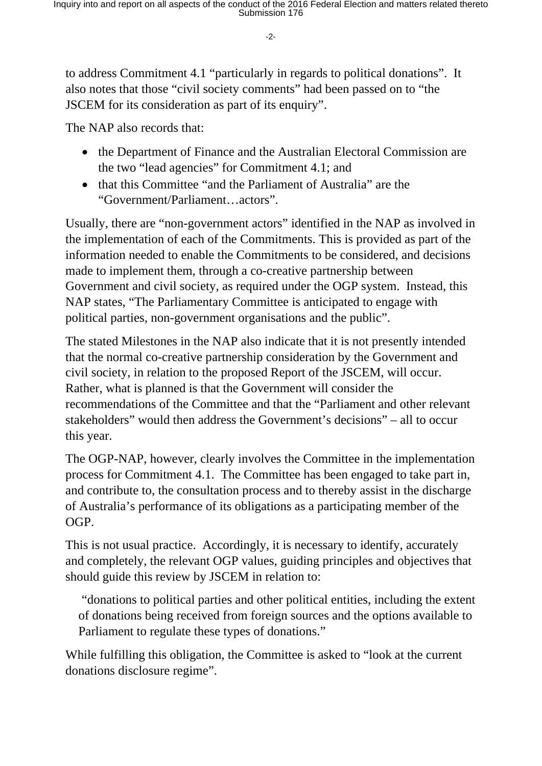-2-

to address Commitment 4.1 "particularly in regards to political donations". It also notes that those "civil society comments" had been passed on to "the JSCEM for its consideration as part of its enquiry".

The NAP also records that:

- the Department of Finance and the Australian Electoral Commission are the two "lead agencies" for Commitment 4.1; and
- that this Committee "and the Parliament of Australia" are the "Government/Parliament…actors".

Usually, there are "non-government actors" identified in the NAP as involved in the implementation of each of the Commitments. This is provided as part of the information needed to enable the Commitments to be considered, and decisions made to implement them, through a co-creative partnership between Government and civil society, as required under the OGP system. Instead, this NAP states, "The Parliamentary Committee is anticipated to engage with political parties, non-government organisations and the public".

The stated Milestones in the NAP also indicate that it is not presently intended that the normal co-creative partnership consideration by the Government and civil society, in relation to the proposed Report of the JSCEM, will occur. Rather, what is planned is that the Government will consider the recommendations of the Committee and that the "Parliament and other relevant stakeholders" would then address the Government's decisions" – all to occur this year.

The OGP-NAP, however, clearly involves the Committee in the implementation process for Commitment 4.1. The Committee has been engaged to take part in, and contribute to, the consultation process and to thereby assist in the discharge of Australia's performance of its obligations as a participating member of the OGP.

This is not usual practice. Accordingly, it is necessary to identify, accurately and completely, the relevant OGP values, guiding principles and objectives that should guide this review by JSCEM in relation to:

 "donations to political parties and other political entities, including the extent of donations being received from foreign sources and the options available to Parliament to regulate these types of donations."

While fulfilling this obligation, the Committee is asked to "look at the current donations disclosure regime".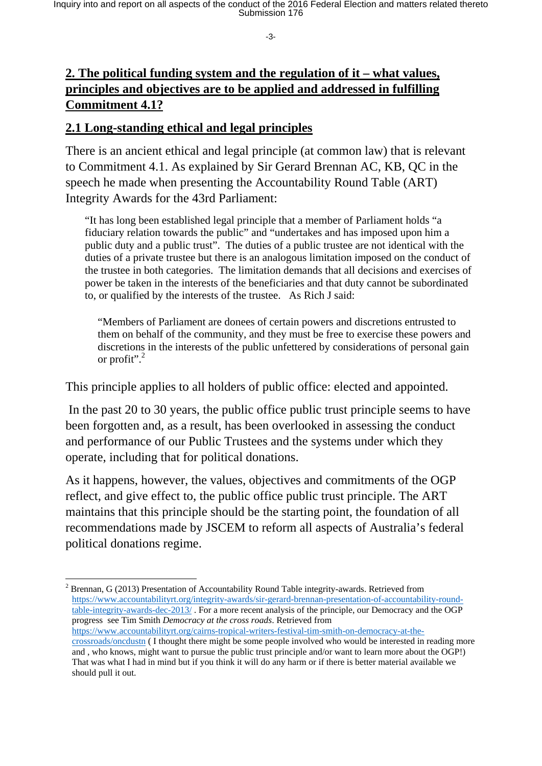-3-

#### **2. The political funding system and the regulation of it – what values, principles and objectives are to be applied and addressed in fulfilling Commitment 4.1?**

#### **2.1 Long-standing ethical and legal principles**

There is an ancient ethical and legal principle (at common law) that is relevant to Commitment 4.1. As explained by Sir Gerard Brennan AC, KB, QC in the speech he made when presenting the Accountability Round Table (ART) Integrity Awards for the 43rd Parliament:

"It has long been established legal principle that a member of Parliament holds "a fiduciary relation towards the public" and "undertakes and has imposed upon him a public duty and a public trust". The duties of a public trustee are not identical with the duties of a private trustee but there is an analogous limitation imposed on the conduct of the trustee in both categories. The limitation demands that all decisions and exercises of power be taken in the interests of the beneficiaries and that duty cannot be subordinated to, or qualified by the interests of the trustee. As Rich J said:

"Members of Parliament are donees of certain powers and discretions entrusted to them on behalf of the community, and they must be free to exercise these powers and discretions in the interests of the public unfettered by considerations of personal gain or profit".<sup>2</sup>

This principle applies to all holders of public office: elected and appointed.

 In the past 20 to 30 years, the public office public trust principle seems to have been forgotten and, as a result, has been overlooked in assessing the conduct and performance of our Public Trustees and the systems under which they operate, including that for political donations.

As it happens, however, the values, objectives and commitments of the OGP reflect, and give effect to, the public office public trust principle. The ART maintains that this principle should be the starting point, the foundation of all recommendations made by JSCEM to reform all aspects of Australia's federal political donations regime.

 $2^2$  Brennan, G (2013) Presentation of Accountability Round Table integrity-awards. Retrieved from https://www.accountabilityrt.org/integrity-awards/sir-gerard-brennan-presentation-of-accountability-roundtable-integrity-awards-dec-2013/ . For a more recent analysis of the principle, our Democracy and the OGP progress see Tim Smith *Democracy at the cross roads*. Retrieved from https://www.accountabilityrt.org/cairns-tropical-writers-festival-tim-smith-on-democracy-at-thecrossroads/oncdustn ( I thought there might be some people involved who would be interested in reading more and , who knows, might want to pursue the public trust principle and/or want to learn more about the OGP!) That was what I had in mind but if you think it will do any harm or if there is better material available we should pull it out.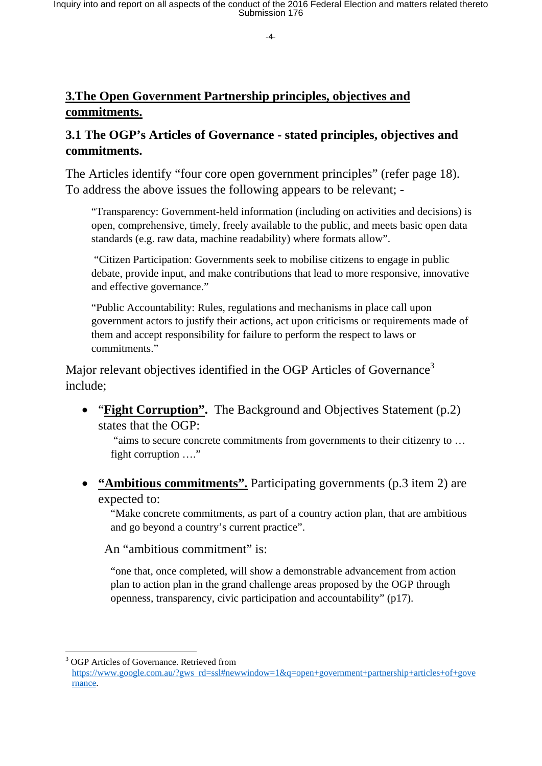# **3.The Open Government Partnership principles, objectives and commitments.**

### **3.1 The OGP's Articles of Governance - stated principles, objectives and commitments.**

The Articles identify "four core open government principles" (refer page 18). To address the above issues the following appears to be relevant; -

"Transparency: Government-held information (including on activities and decisions) is open, comprehensive, timely, freely available to the public, and meets basic open data standards (e.g. raw data, machine readability) where formats allow".

 "Citizen Participation: Governments seek to mobilise citizens to engage in public debate, provide input, and make contributions that lead to more responsive, innovative and effective governance."

"Public Accountability: Rules, regulations and mechanisms in place call upon government actors to justify their actions, act upon criticisms or requirements made of them and accept responsibility for failure to perform the respect to laws or commitments."

Major relevant objectives identified in the OGP Articles of Governance<sup>3</sup> include;

• "**Fight Corruption".** The Background and Objectives Statement (p.2) states that the OGP:

 "aims to secure concrete commitments from governments to their citizenry to … fight corruption …."

 **"Ambitious commitments".** Participating governments (p.3 item 2) are expected to:

"Make concrete commitments, as part of a country action plan, that are ambitious and go beyond a country's current practice".

An "ambitious commitment" is:

"one that, once completed, will show a demonstrable advancement from action plan to action plan in the grand challenge areas proposed by the OGP through openness, transparency, civic participation and accountability" (p17).

 3 OGP Articles of Governance. Retrieved from

https://www.google.com.au/?gws rd=ssl#newwindow=1&q=open+government+partnership+articles+of+gove rnance.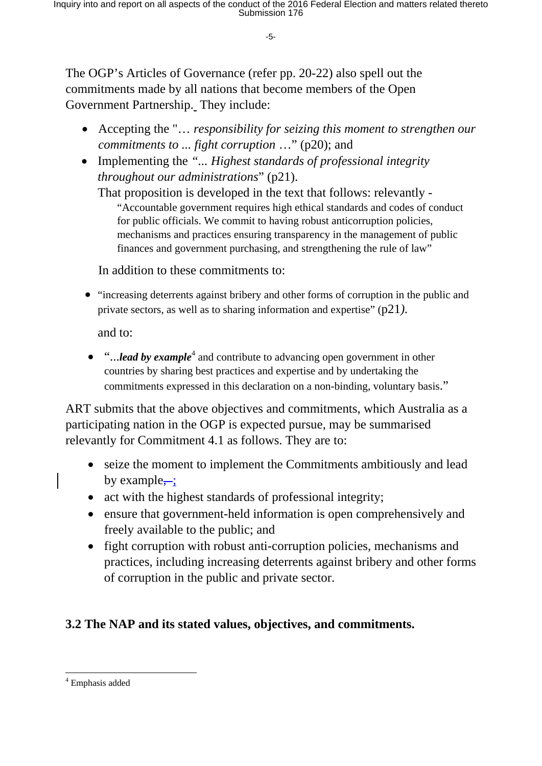-5-

The OGP's Articles of Governance (refer pp. 20-22) also spell out the commitments made by all nations that become members of the Open Government Partnership. They include:

- Accepting the "… *responsibility for seizing this moment to strengthen our commitments to ... fight corruption* …" (p20); and
- Implementing the *"... Highest standards of professional integrity throughout our administrations*" (p21).

That proposition is developed in the text that follows: relevantly - "Accountable government requires high ethical standards and codes of conduct for public officials. We commit to having robust anticorruption policies, mechanisms and practices ensuring transparency in the management of public finances and government purchasing, and strengthening the rule of law"

In addition to these commitments to:

 "increasing deterrents against bribery and other forms of corruption in the public and private sectors, as well as to sharing information and expertise" (p21*).*

and to:

• "...*lead by example*<sup>4</sup> and contribute to advancing open government in other countries by sharing best practices and expertise and by undertaking the commitments expressed in this declaration on a non-binding, voluntary basis."

ART submits that the above objectives and commitments, which Australia as a participating nation in the OGP is expected pursue, may be summarised relevantly for Commitment 4.1 as follows. They are to:

- seize the moment to implement the Commitments ambitiously and lead by example $\div$ ;
- act with the highest standards of professional integrity;
- ensure that government-held information is open comprehensively and freely available to the public; and
- fight corruption with robust anti-corruption policies, mechanisms and practices, including increasing deterrents against bribery and other forms of corruption in the public and private sector.

#### **3.2 The NAP and its stated values, objectives, and commitments.**

<sup>4</sup> Emphasis added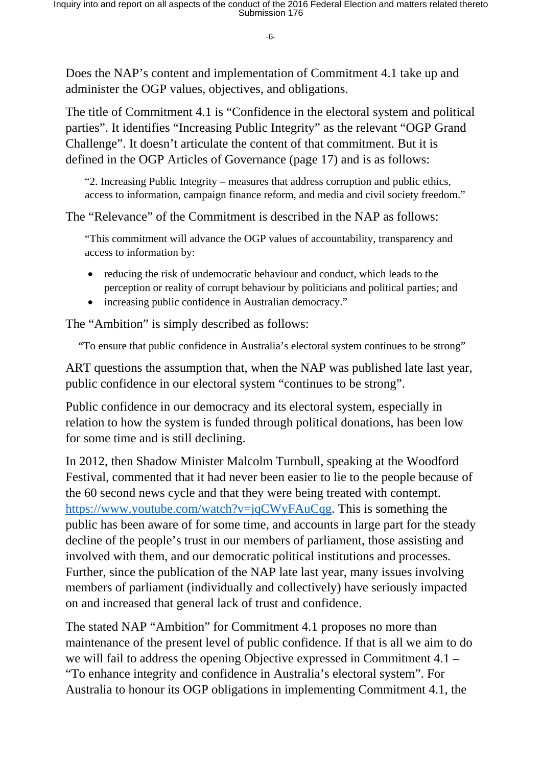-6-

Does the NAP's content and implementation of Commitment 4.1 take up and administer the OGP values, objectives, and obligations.

The title of Commitment 4.1 is "Confidence in the electoral system and political parties". It identifies "Increasing Public Integrity" as the relevant "OGP Grand Challenge". It doesn't articulate the content of that commitment. But it is defined in the OGP Articles of Governance (page 17) and is as follows:

"2. Increasing Public Integrity – measures that address corruption and public ethics, access to information, campaign finance reform, and media and civil society freedom."

The "Relevance" of the Commitment is described in the NAP as follows:

"This commitment will advance the OGP values of accountability, transparency and access to information by:

- reducing the risk of undemocratic behaviour and conduct, which leads to the perception or reality of corrupt behaviour by politicians and political parties; and
- increasing public confidence in Australian democracy."

The "Ambition" is simply described as follows:

"To ensure that public confidence in Australia's electoral system continues to be strong"

ART questions the assumption that, when the NAP was published late last year, public confidence in our electoral system "continues to be strong".

Public confidence in our democracy and its electoral system, especially in relation to how the system is funded through political donations, has been low for some time and is still declining.

In 2012, then Shadow Minister Malcolm Turnbull, speaking at the Woodford Festival, commented that it had never been easier to lie to the people because of the 60 second news cycle and that they were being treated with contempt. https://www.youtube.com/watch?v=jqCWyFAuCqg. This is something the public has been aware of for some time, and accounts in large part for the steady decline of the people's trust in our members of parliament, those assisting and involved with them, and our democratic political institutions and processes. Further, since the publication of the NAP late last year, many issues involving members of parliament (individually and collectively) have seriously impacted on and increased that general lack of trust and confidence.

The stated NAP "Ambition" for Commitment 4.1 proposes no more than maintenance of the present level of public confidence. If that is all we aim to do we will fail to address the opening Objective expressed in Commitment 4.1 – "To enhance integrity and confidence in Australia's electoral system". For Australia to honour its OGP obligations in implementing Commitment 4.1, the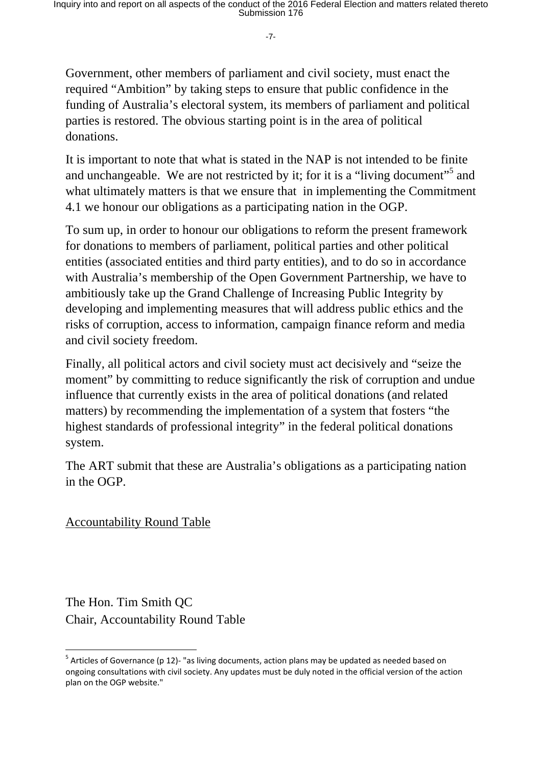-7-

Government, other members of parliament and civil society, must enact the required "Ambition" by taking steps to ensure that public confidence in the funding of Australia's electoral system, its members of parliament and political parties is restored. The obvious starting point is in the area of political donations.

It is important to note that what is stated in the NAP is not intended to be finite and unchangeable. We are not restricted by it; for it is a "living document"<sup>5</sup> and what ultimately matters is that we ensure that in implementing the Commitment 4.1 we honour our obligations as a participating nation in the OGP.

To sum up, in order to honour our obligations to reform the present framework for donations to members of parliament, political parties and other political entities (associated entities and third party entities), and to do so in accordance with Australia's membership of the Open Government Partnership, we have to ambitiously take up the Grand Challenge of Increasing Public Integrity by developing and implementing measures that will address public ethics and the risks of corruption, access to information, campaign finance reform and media and civil society freedom.

Finally, all political actors and civil society must act decisively and "seize the moment" by committing to reduce significantly the risk of corruption and undue influence that currently exists in the area of political donations (and related matters) by recommending the implementation of a system that fosters "the highest standards of professional integrity" in the federal political donations system.

The ART submit that these are Australia's obligations as a participating nation in the OGP.

Accountability Round Table

The Hon. Tim Smith QC Chair, Accountability Round Table

 $5$  Articles of Governance (p 12)- "as living documents, action plans may be updated as needed based on ongoing consultations with civil society. Any updates must be duly noted in the official version of the action plan on the OGP website."